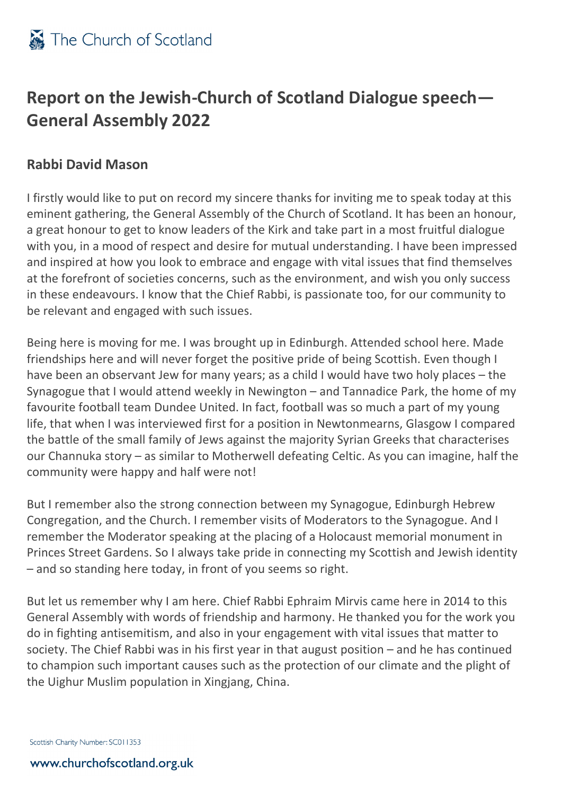## **Report on the Jewish-Church of Scotland Dialogue speech— General Assembly 2022**

## **Rabbi David Mason**

I firstly would like to put on record my sincere thanks for inviting me to speak today at this eminent gathering, the General Assembly of the Church of Scotland. It has been an honour, a great honour to get to know leaders of the Kirk and take part in a most fruitful dialogue with you, in a mood of respect and desire for mutual understanding. I have been impressed and inspired at how you look to embrace and engage with vital issues that find themselves at the forefront of societies concerns, such as the environment, and wish you only success in these endeavours. I know that the Chief Rabbi, is passionate too, for our community to be relevant and engaged with such issues.

Being here is moving for me. I was brought up in Edinburgh. Attended school here. Made friendships here and will never forget the positive pride of being Scottish. Even though I have been an observant Jew for many years; as a child I would have two holy places – the Synagogue that I would attend weekly in Newington – and Tannadice Park, the home of my favourite football team Dundee United. In fact, football was so much a part of my young life, that when I was interviewed first for a position in Newtonmearns, Glasgow I compared the battle of the small family of Jews against the majority Syrian Greeks that characterises our Channuka story – as similar to Motherwell defeating Celtic. As you can imagine, half the community were happy and half were not!

But I remember also the strong connection between my Synagogue, Edinburgh Hebrew Congregation, and the Church. I remember visits of Moderators to the Synagogue. And I remember the Moderator speaking at the placing of a Holocaust memorial monument in Princes Street Gardens. So I always take pride in connecting my Scottish and Jewish identity – and so standing here today, in front of you seems so right.

But let us remember why I am here. Chief Rabbi Ephraim Mirvis came here in 2014 to this General Assembly with words of friendship and harmony. He thanked you for the work you do in fighting antisemitism, and also in your engagement with vital issues that matter to society. The Chief Rabbi was in his first year in that august position – and he has continued to champion such important causes such as the protection of our climate and the plight of the Uighur Muslim population in Xingjang, China.

Scottish Charity Number: SC011353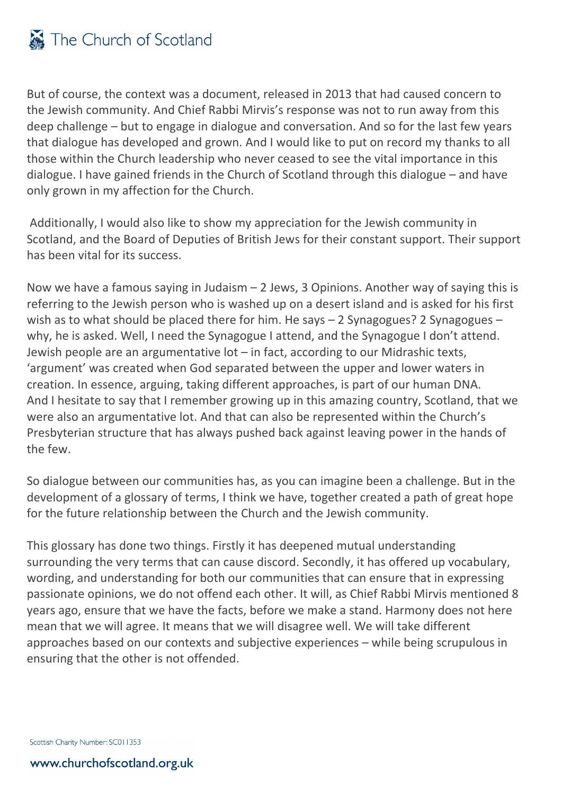But of course, the context was a document, released in 2013 that had caused concern to the Jewish community. And Chief Rabbi Mirvis's response was not to run away from this deep challenge – but to engage in dialogue and conversation. And so for the last few years that dialogue has developed and grown. And I would like to put on record my thanks to all those within the Church leadership who never ceased to see the vital importance in this dialogue. I have gained friends in the Church of Scotland through this dialogue – and have only grown in my affection for the Church.

Additionally, I would also like to show my appreciation for the Jewish community in Scotland, and the Board of Deputies of British Jews for their constant support. Their support has been vital for its success.

Now we have a famous saying in Judaism  $-2$  Jews, 3 Opinions. Another way of saying this is referring to the Jewish person who is washed up on a desert island and is asked for his first wish as to what should be placed there for him. He says - 2 Synagogues? 2 Synagogues why, he is asked. Well, I need the Synagogue I attend, and the Synagogue I don't attend. Jewish people are an argumentative lot – in fact, according to our Midrashic texts, 'argument' was created when God separated between the upper and lower waters in creation. In essence, arguing, taking different approaches, is part of our human DNA. And I hesitate to say that I remember growing up in this amazing country, Scotland, that we were also an argumentative lot. And that can also be represented within the Church's Presbyterian structure that has always pushed back against leaving power in the hands of the few.

So dialogue between our communities has, as you can imagine been a challenge. But in the development of a glossary of terms, I think we have, together created a path of great hope for the future relationship between the Church and the Jewish community.

This glossary has done two things. Firstly it has deepened mutual understanding surrounding the very terms that can cause discord. Secondly, it has offered up vocabulary, wording, and understanding for both our communities that can ensure that in expressing passionate opinions, we do not offend each other. It will, as Chief Rabbi Mirvis mentioned 8 years ago, ensure that we have the facts, before we make a stand. Harmony does not here mean that we will agree. It means that we will disagree well. We will take different approaches based on our contexts and subjective experiences – while being scrupulous in ensuring that the other is not offended.

Scottish Charity Number: SC011353